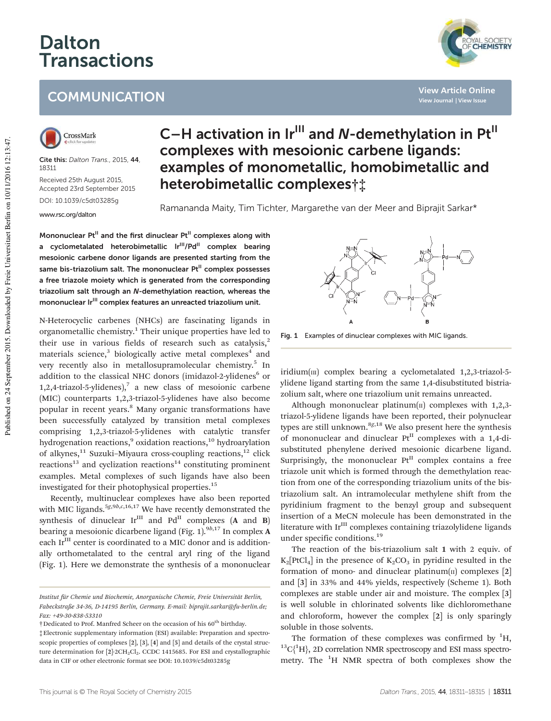## Dalton Transactions

## **COMMUNICATION**



Cite this: Dalton Trans., 2015, 44, 18311 Received 25th August 2015,

Accepted 23rd September 2015 DOI: 10.1039/c5dt03285g

www.rsc.org/dalton

## C-H activation in  $Ir<sup>III</sup>$  and N-demethylation in Pt $<sup>II</sup>$ </sup> complexes with mesoionic carbene ligands: examples of monometallic, homobimetallic and heterobimetallic complexes†‡

Ramananda Maity, Tim Tichter, Margarethe van der Meer and Biprajit Sarkar\*

Mononuclear  $Pt^{II}$  and the first dinuclear  $Pt^{II}$  complexes along with a cyclometalated heterobimetallic Ir<sup>III</sup>/Pd<sup>II</sup> complex bearing mesoionic carbene donor ligands are presented starting from the same bis-triazolium salt. The mononuclear Pt<sup>II</sup> complex possesses a free triazole moiety which is generated from the corresponding triazolium salt through an N-demethylation reaction, whereas the mononuclear Ir<sup>III</sup> complex features an unreacted triazolium unit.

N-Heterocyclic carbenes (NHCs) are fascinating ligands in organometallic chemistry.<sup>1</sup> Their unique properties have led to their use in various fields of research such as catalysis, $2$ materials science,<sup>3</sup> biologically active metal complexes<sup>4</sup> and very recently also in metallosupramolecular chemistry.<sup>5</sup> In addition to the classical NHC donors (imidazol-2-ylidenes<sup>6</sup> or 1,2,4-triazol-5-ylidenes),<sup>7</sup> a new class of mesoionic carbene (MIC) counterparts 1,2,3-triazol-5-ylidenes have also become popular in recent years.<sup>8</sup> Many organic transformations have been successfully catalyzed by transition metal complexes comprising 1,2,3-triazol-5-ylidenes with catalytic transfer hydrogenation reactions,<sup>9</sup> oxidation reactions,<sup>10</sup> hydroarylation of alkynes,<sup>11</sup> Suzuki-Miyaura cross-coupling reactions,<sup>12</sup> click  $reactions<sup>13</sup>$  and cyclization reactions<sup>14</sup> constituting prominent examples. Metal complexes of such ligands have also been investigated for their photophysical properties.<sup>15</sup>

Recently, multinuclear complexes have also been reported with MIC ligands.<sup>5g,9b,c,16,17</sup> We have recently demonstrated the synthesis of dinuclear  $Ir^{III}$  and  $Pd^{II}$  complexes (A and B) bearing a mesoionic dicarbene ligand (Fig. 1).<sup>9b,17</sup> In complex A each Ir<sup>III</sup> center is coordinated to a MIC donor and is additionally orthometalated to the central aryl ring of the ligand (Fig. 1). Here we demonstrate the synthesis of a mononuclear

Fig. 1 Examples of dinuclear complexes with MIC ligands.

iridium $(m)$  complex bearing a cyclometalated 1,2,3-triazol-5ylidene ligand starting from the same 1,4-disubstituted bistriazolium salt, where one triazolium unit remains unreacted.

Although mononuclear platinum( $\pi$ ) complexes with 1,2,3triazol-5-ylidene ligands have been reported, their polynuclear types are still unknown. $8g,18$  We also present here the synthesis of mononuclear and dinuclear  $Pt^{II}$  complexes with a 1,4-disubstituted phenylene derived mesoionic dicarbene ligand. Surprisingly, the mononuclear  $Pt<sup>H</sup>$  complex contains a free triazole unit which is formed through the demethylation reaction from one of the corresponding triazolium units of the bistriazolium salt. An intramolecular methylene shift from the pyridinium fragment to the benzyl group and subsequent insertion of a MeCN molecule has been demonstrated in the literature with Ir<sup>III</sup> complexes containing triazolylidene ligands under specific conditions.<sup>19</sup>

The reaction of the bis-triazolium salt 1 with 2 equiv. of  $K_2[PtCl_4]$  in the presence of  $K_2CO_3$  in pyridine resulted in the formation of mono- and dinuclear platinum $(n)$  complexes  $[2]$ and [3] in 33% and 44% yields, respectively (Scheme 1). Both complexes are stable under air and moisture. The complex [3] is well soluble in chlorinated solvents like dichloromethane and chloroform, however the complex [2] is only sparingly soluble in those solvents.

The formation of these complexes was confirmed by  ${}^{1}H$ ,  ${}^{13}C_1{}^{1}H$ , 2D correlation NMR spectroscopy and ESI mass spectrometry. The  ${}^{1}$ H NMR spectra of both complexes show the



**View Article Online View Journal | View Issue**

Institut für Chemie und Biochemie, Anorganische Chemie, Freie Universität Berlin, Fabeckstraße 34-36, D-14195 Berlin, Germany. E-mail: biprajit.sarkar@fu-berlin.de; Fax: +49-30-838-53310

<sup>&</sup>lt;sup>†</sup>Dedicated to Prof. Manfred Scheer on the occasion of his 60<sup>th</sup> birthday.

<sup>‡</sup>Electronic supplementary information (ESI) available: Preparation and spectroscopic properties of complexes [2], [3], [4] and [5] and details of the crystal structure determination for [2]·2CH<sub>2</sub>Cl<sub>2</sub>. CCDC 1415685. For ESI and crystallographic data in CIF or other electronic format see DOI: 10.1039/c5dt03285g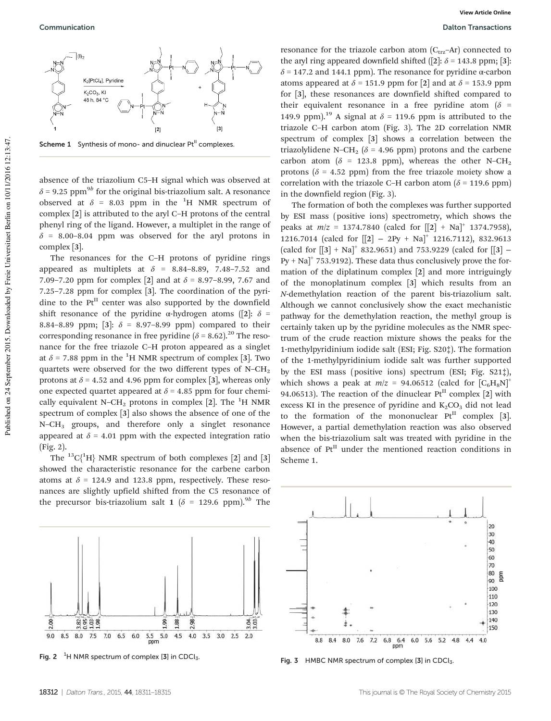Scheme 1 Synthesis of mono- and dinuclear Pt<sup>II</sup> complexes.

absence of the triazolium C5–H signal which was observed at  $\delta$  = 9.25 ppm $^{9b}$  for the original bis-triazolium salt. A resonance observed at  $\delta$  = 8.03 ppm in the <sup>1</sup>H NMR spectrum of complex [2] is attributed to the aryl C–H protons of the central phenyl ring of the ligand. However, a multiplet in the range of  $\delta$  = 8.00–8.04 ppm was observed for the aryl protons in complex [3].

The resonances for the C–H protons of pyridine rings appeared as multiplets at  $\delta$  = 8.84-8.89, 7.48-7.52 and 7.09–7.20 ppm for complex [2] and at  $\delta$  = 8.97–8.99, 7.67 and 7.25–7.28 ppm for complex [3]. The coordination of the pyridine to the  $Pt<sup>II</sup>$  center was also supported by the downfield shift resonance of the pyridine  $\alpha$ -hydrogen atoms ([2]:  $\delta$  = 8.84–8.89 ppm; [3]:  $\delta$  = 8.97–8.99 ppm) compared to their corresponding resonance in free pyridine  $(\delta = 8.62)$ .<sup>20</sup> The resonance for the free triazole C–H proton appeared as a singlet at  $\delta$  = 7.88 ppm in the <sup>1</sup>H NMR spectrum of complex [3]. Two quartets were observed for the two different types of  $N-CH<sub>2</sub>$ protons at  $\delta$  = 4.52 and 4.96 ppm for complex [3], whereas only one expected quartet appeared at  $\delta$  = 4.85 ppm for four chemically equivalent N–CH<sub>2</sub> protons in complex [2]. The <sup>1</sup>H NMR spectrum of complex [3] also shows the absence of one of the N–CH<sup>3</sup> groups, and therefore only a singlet resonance appeared at  $\delta$  = 4.01 ppm with the expected integration ratio (Fig. 2).

The  ${}^{13}C_1{}^{1}H$  NMR spectrum of both complexes [2] and [3] showed the characteristic resonance for the carbene carbon atoms at  $\delta$  = 124.9 and 123.8 ppm, respectively. These resonances are slightly upfield shifted from the C5 resonance of the precursor bis-triazolium salt 1 ( $\delta$  = 129.6 ppm).<sup>9b</sup> The



Fig. 2  $1$ H NMR spectrum of complex [3] in CDCl<sub>3</sub>

resonance for the triazole carbon atom  $(C_{trz}-Ar)$  connected to the aryl ring appeared downfield shifted ([2]:  $\delta$  = 143.8 ppm; [3]:  $δ = 147.2$  and 144.1 ppm). The resonance for pyridine α-carbon atoms appeared at  $\delta$  = 151.9 ppm for [2] and at  $\delta$  = 153.9 ppm for [3], these resonances are downfield shifted compared to their equivalent resonance in a free pyridine atom ( $\delta$  = 149.9 ppm).<sup>19</sup> A signal at  $\delta$  = 119.6 ppm is attributed to the triazole C–H carbon atom (Fig. 3). The 2D correlation NMR spectrum of complex [3] shows a correlation between the triazolylidene N–CH<sub>2</sub> ( $\delta$  = 4.96 ppm) protons and the carbene carbon atom ( $\delta$  = 123.8 ppm), whereas the other N–CH<sub>2</sub> protons ( $\delta$  = 4.52 ppm) from the free triazole moiety show a correlation with the triazole C–H carbon atom ( $\delta$  = 119.6 ppm) in the downfield region (Fig. 3).

The formation of both the complexes was further supported by ESI mass (positive ions) spectrometry, which shows the peaks at  $m/z = 1374.7840$  (calcd for  $[[2] + Na]$ <sup>+</sup> 1374.7958), 1216.7014 (calcd for [[2] − 2Py + Na]<sup>+</sup> 1216.7112), 832.9613 (calcd for  $[[3] + Na]$ <sup>+</sup> 832.9651) and 753.9229 (calcd for  $[[3] Py + Na$ <sup>+</sup> 753.9192). These data thus conclusively prove the formation of the diplatinum complex [2] and more intriguingly of the monoplatinum complex [3] which results from an N-demethylation reaction of the parent bis-triazolium salt. Although we cannot conclusively show the exact mechanistic pathway for the demethylation reaction, the methyl group is certainly taken up by the pyridine molecules as the NMR spectrum of the crude reaction mixture shows the peaks for the 1-methylpyridinium iodide salt (ESI; Fig. S20‡). The formation of the 1-methylpyridinium iodide salt was further supported by the ESI mass (positive ions) spectrum (ESI; Fig. S21‡), which shows a peak at  $m/z = 94.06512$  (calcd for  $[C_6H_8N]^+$ 94.06513). The reaction of the dinuclear  $Pt<sup>H</sup>$  complex [2] with excess KI in the presence of pyridine and  $K_2CO_3$  did not lead to the formation of the mononuclear  $Pt<sup>II</sup>$  complex [3]. However, a partial demethylation reaction was also observed when the bis-triazolium salt was treated with pyridine in the absence of  $Pt<sup>II</sup>$  under the mentioned reaction conditions in Scheme 1.



Fig. 3 HMBC NMR spectrum of complex [3] in CDCl<sub>3</sub>.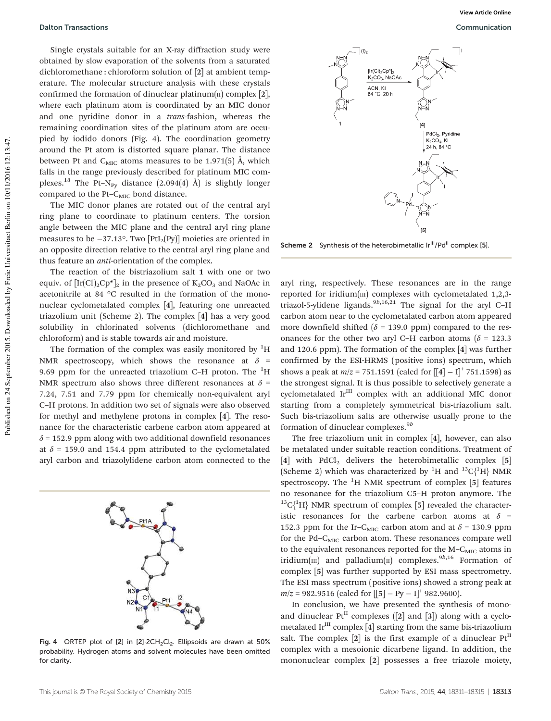Single crystals suitable for an X-ray diffraction study were obtained by slow evaporation of the solvents from a saturated dichloromethane : chloroform solution of [2] at ambient temperature. The molecular structure analysis with these crystals confirmed the formation of dinuclear platinum( $\pi$ ) complex [2], where each platinum atom is coordinated by an MIC donor and one pyridine donor in a trans-fashion, whereas the remaining coordination sites of the platinum atom are occupied by iodido donors (Fig. 4). The coordination geometry around the Pt atom is distorted square planar. The distance between Pt and  $C_{\text{MIC}}$  atoms measures to be 1.971(5) Å, which falls in the range previously described for platinum MIC complexes.<sup>18</sup> The Pt–N<sub>Py</sub> distance  $(2.094(4)$  Å) is slightly longer compared to the Pt– $C_{\text{MIC}}$  bond distance.

The MIC donor planes are rotated out of the central aryl ring plane to coordinate to platinum centers. The torsion angle between the MIC plane and the central aryl ring plane measures to be −37.13°. Two [PtI2(Py)] moieties are oriented in an opposite direction relative to the central aryl ring plane and thus feature an anti-orientation of the complex.

The reaction of the bistriazolium salt 1 with one or two equiv. of  $[\text{Ir}(Cl)_2\text{Cp*}]_2$  in the presence of  $K_2CO_3$  and NaOAc in acetonitrile at 84 °C resulted in the formation of the mononuclear cyclometalated complex [4], featuring one unreacted triazolium unit (Scheme 2). The complex [4] has a very good solubility in chlorinated solvents (dichloromethane and chloroform) and is stable towards air and moisture.

The formation of the complex was easily monitored by  ${}^{1}H$ NMR spectroscopy, which shows the resonance at  $\delta$  = 9.69 ppm for the unreacted triazolium C–H proton. The  ${}^{1}$ H NMR spectrum also shows three different resonances at  $\delta$  = 7.24, 7.51 and 7.79 ppm for chemically non-equivalent aryl C–H protons. In addition two set of signals were also observed for methyl and methylene protons in complex [4]. The resonance for the characteristic carbene carbon atom appeared at  $\delta$  = 152.9 ppm along with two additional downfield resonances at  $\delta$  = 159.0 and 154.4 ppm attributed to the cyclometalated aryl carbon and triazolylidene carbon atom connected to the



Fig. 4 ORTEP plot of [2] in [2] 2CH<sub>2</sub>Cl<sub>2</sub>. Ellipsoids are drawn at 50% probability. Hydrogen atoms and solvent molecules have been omitted for clarity.



Scheme 2 Synthesis of the heterobimetallic Ir<sup>III</sup>/Pd<sup>II</sup> complex [5].

aryl ring, respectively. These resonances are in the range reported for iridium $(m)$  complexes with cyclometalated 1,2,3triazol-5-ylidene ligands.<sup>9b,16,21</sup> The signal for the aryl C–H carbon atom near to the cyclometalated carbon atom appeared more downfield shifted ( $\delta$  = 139.0 ppm) compared to the resonances for the other two aryl C–H carbon atoms ( $\delta$  = 123.3 and 120.6 ppm). The formation of the complex [4] was further confirmed by the ESI-HRMS (positive ions) spectrum, which shows a peak at  $m/z = 751.1591$  (calcd for  $[[4] - I]^+$  751.1598) as the strongest signal. It is thus possible to selectively generate a cyclometalated Ir<sup>III</sup> complex with an additional MIC donor starting from a completely symmetrical bis-triazolium salt. Such bis-triazolium salts are otherwise usually prone to the formation of dinuclear complexes.<sup>9b</sup>

The free triazolium unit in complex [4], however, can also be metalated under suitable reaction conditions. Treatment of [4] with PdCl<sub>2</sub> delivers the heterobimetallic complex [5] (Scheme 2) which was characterized by <sup>1</sup>H and <sup>13</sup>C{<sup>1</sup>H} NMR spectroscopy. The  ${}^{1}$ H NMR spectrum of complex [5] features no resonance for the triazolium C5–H proton anymore. The  $^{13}C_1^1H$  NMR spectrum of complex [5] revealed the characteristic resonances for the carbene carbon atoms at  $\delta$  = 152.3 ppm for the Ir-C<sub>MIC</sub> carbon atom and at  $\delta$  = 130.9 ppm for the Pd-C<sub>MIC</sub> carbon atom. These resonances compare well to the equivalent resonances reported for the  $M-C<sub>MIC</sub>$  atoms in iridium( $\text{III})$  and palladium( $\text{II})$  complexes.<sup>9b,16</sup> Formation of complex [5] was further supported by ESI mass spectrometry. The ESI mass spectrum (positive ions) showed a strong peak at  $m/z = 982.9516$  (calcd for [[5] – Py – I]<sup>+</sup> 982.9600).

In conclusion, we have presented the synthesis of monoand dinuclear  $Pt^{II}$  complexes ([2] and [3]) along with a cyclometalated Ir<sup>III</sup> complex [4] starting from the same bis-triazolium salt. The complex [2] is the first example of a dinuclear  $Pt<sup>II</sup>$ complex with a mesoionic dicarbene ligand. In addition, the mononuclear complex [2] possesses a free triazole moiety,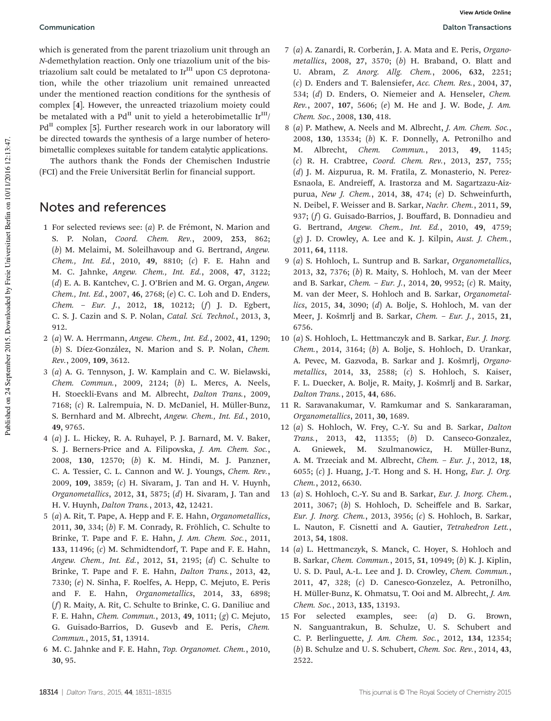which is generated from the parent triazolium unit through an N-demethylation reaction. Only one triazolium unit of the bistriazolium salt could be metalated to  $Ir<sup>III</sup>$  upon C5 deprotonation, while the other triazolium unit remained unreacted under the mentioned reaction conditions for the synthesis of complex [4]. However, the unreacted triazolium moiety could be metalated with a Pd<sup>II</sup> unit to yield a heterobimetallic  $Ir<sup>III</sup>/$  $Pd<sup>H</sup>$  complex [5]. Further research work in our laboratory will be directed towards the synthesis of a large number of heterobimetallic complexes suitable for tandem catalytic applications.

The authors thank the Fonds der Chemischen Industrie (FCI) and the Freie Universität Berlin for financial support.

## Notes and references

- 1 For selected reviews see: (a) P. de Frémont, N. Marion and S. P. Nolan, Coord. Chem. Rev., 2009, 253, 862; (b) M. Melaimi, M. Soleilhavoup and G. Bertrand, Angew. Chem., Int. Ed., 2010, 49, 8810; (c) F. E. Hahn and M. C. Jahnke, Angew. Chem., Int. Ed., 2008, 47, 3122; (d) E. A. B. Kantchev, C. J. O'Brien and M. G. Organ, Angew. Chem., Int. Ed., 2007, 46, 2768; (e) C. C. Loh and D. Enders, Chem. – Eur. J., 2012, 18, 10212; (f) J. D. Egbert, C. S. J. Cazin and S. P. Nolan, Catal. Sci. Technol., 2013, 3, 912.
- 2 (a) W. A. Herrmann, Angew. Chem., Int. Ed., 2002, 41, 1290; (b) S. Díez-González, N. Marion and S. P. Nolan, Chem. Rev., 2009, 109, 3612.
- 3 (a) A. G. Tennyson, J. W. Kamplain and C. W. Bielawski, Chem. Commun., 2009, 2124; (b) L. Mercs, A. Neels, H. Stoeckli-Evans and M. Albrecht, Dalton Trans., 2009, 7168; (c) R. Lalrempuia, N. D. McDaniel, H. Müller-Bunz, S. Bernhard and M. Albrecht, Angew. Chem., Int. Ed., 2010, 49, 9765.
- 4 (a) J. L. Hickey, R. A. Ruhayel, P. J. Barnard, M. V. Baker, S. J. Berners-Price and A. Filipovska, J. Am. Chem. Soc., 2008, 130, 12570; (b) K. M. Hindi, M. J. Panzner, C. A. Tessier, C. L. Cannon and W. J. Youngs, Chem. Rev., 2009, 109, 3859; (c) H. Sivaram, J. Tan and H. V. Huynh, Organometallics, 2012, 31, 5875; (d) H. Sivaram, J. Tan and H. V. Huynh, Dalton Trans., 2013, 42, 12421.
- 5 (a) A. Rit, T. Pape, A. Hepp and F. E. Hahn, Organometallics, 2011, 30, 334; (b) F. M. Conrady, R. Fröhlich, C. Schulte to Brinke, T. Pape and F. E. Hahn, *J. Am. Chem. Soc.*, 2011, 133, 11496; (c) M. Schmidtendorf, T. Pape and F. E. Hahn, Angew. Chem., Int. Ed., 2012, 51, 2195; (d) C. Schulte to Brinke, T. Pape and F. E. Hahn, Dalton Trans., 2013, 42, 7330; (e) N. Sinha, F. Roelfes, A. Hepp, C. Mejuto, E. Peris and F. E. Hahn, Organometallics, 2014, 33, 6898; (f) R. Maity, A. Rit, C. Schulte to Brinke, C. G. Daniliuc and F. E. Hahn, Chem. Commun., 2013, 49, 1011; (g) C. Mejuto, G. Guisado-Barrios, D. Gusevb and E. Peris, Chem. Commun., 2015, 51, 13914.
- 6 M. C. Jahnke and F. E. Hahn, Top. Organomet. Chem., 2010, 30, 95.
- 7 (a) A. Zanardi, R. Corberán, J. A. Mata and E. Peris, Organometallics, 2008, 27, 3570; (b) H. Braband, O. Blatt and U. Abram, Z. Anorg. Allg. Chem., 2006, 632, 2251; (c) D. Enders and T. Balensiefer, Acc. Chem. Res., 2004, 37, 534; (d) D. Enders, O. Niemeier and A. Henseler, Chem. Rev., 2007, 107, 5606; (e) M. He and J. W. Bode, J. Am. Chem. Soc., 2008, 130, 418.
- 8 (a) P. Mathew, A. Neels and M. Albrecht, J. Am. Chem. Soc., 2008, 130, 13534; (b) K. F. Donnelly, A. Petronilho and M. Albrecht, Chem. Commun., 2013, 49, 1145; (c) R. H. Crabtree, Coord. Chem. Rev., 2013, 257, 755; (d) J. M. Aizpurua, R. M. Fratila, Z. Monasterio, N. Perez-Esnaola, E. Andreieff, A. Irastorza and M. Sagartzazu-Aizpurua, New J. Chem., 2014, 38, 474; (e) D. Schweinfurth, N. Deibel, F. Weisser and B. Sarkar, Nachr. Chem., 2011, 59, 937; (f) G. Guisado-Barrios, J. Bouffard, B. Donnadieu and G. Bertrand, Angew. Chem., Int. Ed., 2010, 49, 4759; (g) J. D. Crowley, A. Lee and K. J. Kilpin, Aust. J. Chem., 2011, 64, 1118.
- 9 (a) S. Hohloch, L. Suntrup and B. Sarkar, Organometallics, 2013, 32, 7376; (b) R. Maity, S. Hohloch, M. van der Meer and B. Sarkar, Chem. – Eur. J., 2014, 20, 9952; (c) R. Maity, M. van der Meer, S. Hohloch and B. Sarkar, Organometallics, 2015, 34, 3090; (d) A. Bolje, S. Hohloch, M. van der Meer, J. Košmrlj and B. Sarkar, Chem. – Eur. J., 2015, 21, 6756.
- 10 (a) S. Hohloch, L. Hettmanczyk and B. Sarkar, Eur. J. Inorg. Chem., 2014, 3164; (b) A. Bolje, S. Hohloch, D. Urankar, A. Pevec, M. Gazvoda, B. Sarkar and J. Košmrlj, Organometallics, 2014, 33, 2588; (c) S. Hohloch, S. Kaiser, F. L. Duecker, A. Bolje, R. Maity, J. Košmrlj and B. Sarkar, Dalton Trans., 2015, 44, 686.
- 11 R. Saravanakumar, V. Ramkumar and S. Sankararaman, Organometallics, 2011, 30, 1689.
- 12 (a) S. Hohloch, W. Frey, C.-Y. Su and B. Sarkar, Dalton Trans., 2013, 42, 11355; (b) D. Canseco-Gonzalez, A. Gniewek, M. Szulmanowicz, H. Müller-Bunz, A. M. Trzeciak and M. Albrecht, Chem. - Eur. J., 2012, 18, 6055; (c) J. Huang, J.-T. Hong and S. H. Hong, Eur. J. Org. Chem., 2012, 6630.
- 13 (a) S. Hohloch, C.-Y. Su and B. Sarkar, Eur. J. Inorg. Chem., 2011, 3067; (b) S. Hohloch, D. Scheiffele and B. Sarkar, Eur. J. Inorg. Chem., 2013, 3956; (c) S. Hohloch, B. Sarkar, L. Nauton, F. Cisnetti and A. Gautier, Tetrahedron Lett., 2013, 54, 1808.
- 14 (a) L. Hettmanczyk, S. Manck, C. Hoyer, S. Hohloch and B. Sarkar, Chem. Commun., 2015, 51, 10949; (b) K. J. Kiplin, U. S. D. Paul, A.-L. Lee and J. D. Crowley, Chem. Commun., 2011, 47, 328; (c) D. Canesco-Gonzelez, A. Petronilho, H. Müller-Bunz, K. Ohmatsu, T. Ooi and M. Albrecht, J. Am. Chem. Soc., 2013, 135, 13193.
- 15 For selected examples, see: (a) D. G. Brown, N. Sanguantrakun, B. Schulze, U. S. Schubert and C. P. Berlinguette, J. Am. Chem. Soc., 2012, 134, 12354; (b) B. Schulze and U. S. Schubert, Chem. Soc. Rev., 2014, 43, 2522.